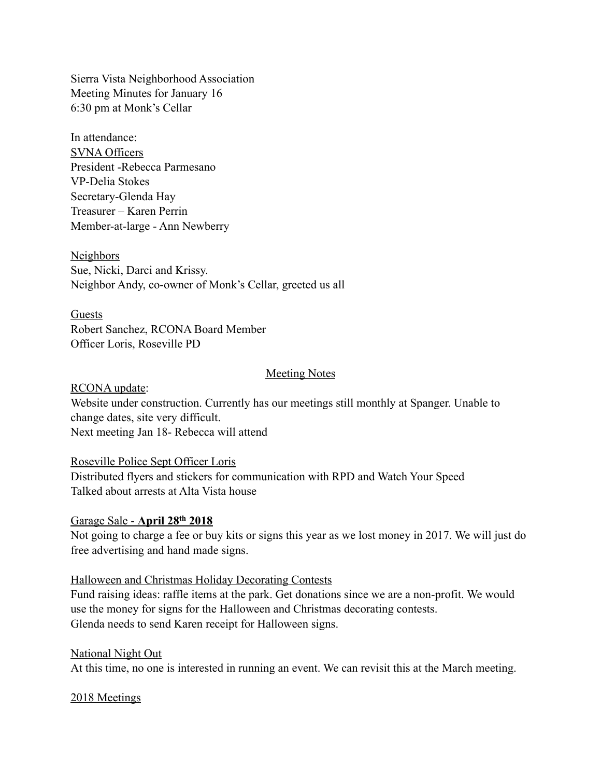Sierra Vista Neighborhood Association Meeting Minutes for January 16 6:30 pm at Monk's Cellar

In attendance: SVNA Officers President -Rebecca Parmesano VP-Delia Stokes Secretary-Glenda Hay Treasurer – Karen Perrin Member-at-large - Ann Newberry

Neighbors Sue, Nicki, Darci and Krissy. Neighbor Andy, co-owner of Monk's Cellar, greeted us all

Guests Robert Sanchez, RCONA Board Member Officer Loris, Roseville PD

### Meeting Notes

RCONA update: Website under construction. Currently has our meetings still monthly at Spanger. Unable to change dates, site very difficult. Next meeting Jan 18- Rebecca will attend

### Roseville Police Sept Officer Loris

Distributed flyers and stickers for communication with RPD and Watch Your Speed Talked about arrests at Alta Vista house

### Garage Sale - **April 28th 2018**

Not going to charge a fee or buy kits or signs this year as we lost money in 2017. We will just do free advertising and hand made signs.

### Halloween and Christmas Holiday Decorating Contests

Fund raising ideas: raffle items at the park. Get donations since we are a non-profit. We would use the money for signs for the Halloween and Christmas decorating contests. Glenda needs to send Karen receipt for Halloween signs.

### National Night Out

At this time, no one is interested in running an event. We can revisit this at the March meeting.

### 2018 Meetings